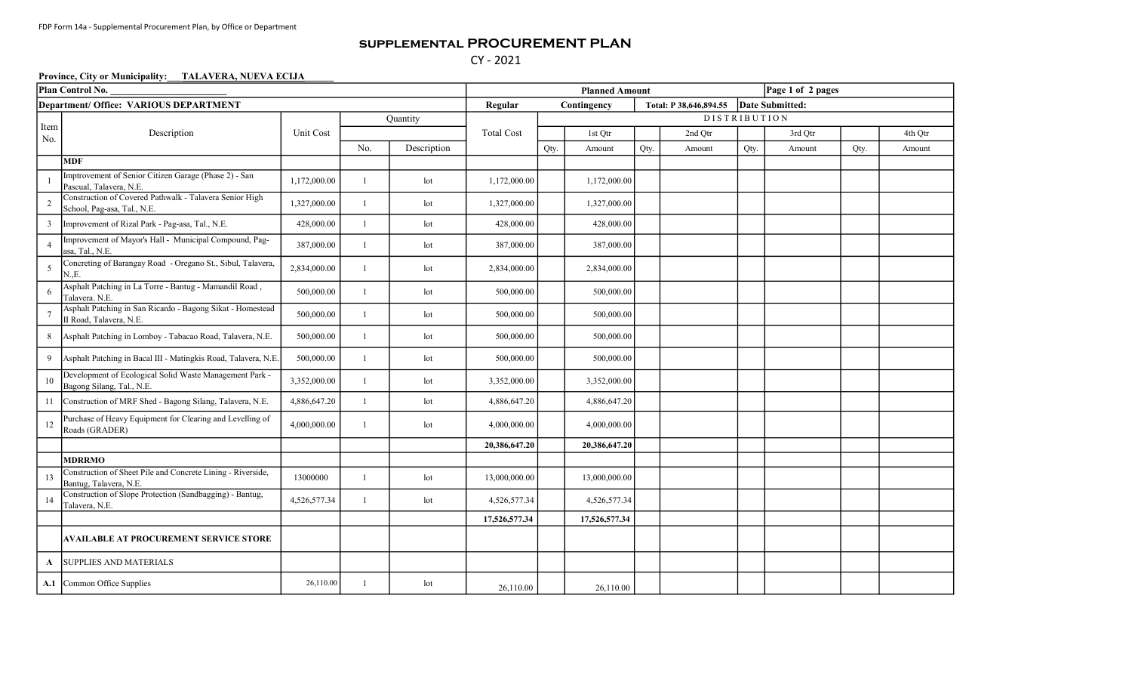## supplemental PROCUREMENT PLAN CY - 2021

## Province, City or Municipality: TALAVERA, NUEVA ECIJA

| Plan Control No.                       |                                                                                        |              |                |              |                   | Page 1 of 2 pages<br><b>Planned Amount</b> |               |      |                        |                 |         |      |         |  |  |
|----------------------------------------|----------------------------------------------------------------------------------------|--------------|----------------|--------------|-------------------|--------------------------------------------|---------------|------|------------------------|-----------------|---------|------|---------|--|--|
| Department/ Office: VARIOUS DEPARTMENT |                                                                                        |              |                |              | Regular           |                                            | Contingency   |      | Total: P 38,646,894.55 | Date Submitted: |         |      |         |  |  |
|                                        | Description                                                                            |              | Quantity       |              |                   | <b>DISTRIBUTION</b>                        |               |      |                        |                 |         |      |         |  |  |
| Item<br>No.                            |                                                                                        | Unit Cost    |                |              | <b>Total Cost</b> |                                            | 1st Qtr       |      | 2nd Qtr                |                 | 3rd Qtr |      | 4th Qtr |  |  |
|                                        |                                                                                        |              | No.            | Description  |                   | Qty.                                       | Amount        | Qty. | Amount                 | Qty.            | Amount  | Qty. | Amount  |  |  |
|                                        | <b>MDF</b>                                                                             |              |                |              |                   |                                            |               |      |                        |                 |         |      |         |  |  |
|                                        | Imptrovement of Senior Citizen Garage (Phase 2) - San<br>Pascual, Talavera, N.E.       | 1,172,000.00 | $\mathbf{1}$   | $_{\rm lot}$ | 1,172,000.00      |                                            | 1,172,000.00  |      |                        |                 |         |      |         |  |  |
| 2                                      | Construction of Covered Pathwalk - Talavera Senior High<br>School, Pag-asa, Tal., N.E. | 1,327,000.00 | $\overline{1}$ | lot          | 1,327,000.00      |                                            | 1,327,000.00  |      |                        |                 |         |      |         |  |  |
| 3                                      | Improvement of Rizal Park - Pag-asa, Tal., N.E.                                        | 428,000.00   | $\overline{1}$ | lot          | 428,000.00        |                                            | 428,000.00    |      |                        |                 |         |      |         |  |  |
| $\overline{4}$                         | Improvement of Mayor's Hall - Municipal Compound, Pag-<br>asa, Tal., N.E.              | 387,000.00   | $\mathbf{1}$   | $_{\rm lot}$ | 387,000.00        |                                            | 387,000.00    |      |                        |                 |         |      |         |  |  |
| 5                                      | Concreting of Barangay Road - Oregano St., Sibul, Talavera,<br>N.,E.                   | 2,834,000.00 |                | lot          | 2,834,000.00      |                                            | 2,834,000.00  |      |                        |                 |         |      |         |  |  |
|                                        | Asphalt Patching in La Torre - Bantug - Mamandil Road,<br>Talavera. N.E.               | 500,000.00   | $\mathbf{1}$   | lot          | 500,000.00        |                                            | 500,000.00    |      |                        |                 |         |      |         |  |  |
|                                        | Asphalt Patching in San Ricardo - Bagong Sikat - Homestead<br>II Road, Talavera, N.E.  | 500,000.00   |                | $_{\rm lot}$ | 500,000.00        |                                            | 500,000.00    |      |                        |                 |         |      |         |  |  |
| 8                                      | Asphalt Patching in Lomboy - Tabacao Road, Talavera, N.E.                              | 500,000.00   | $\mathbf{1}$   | $_{\rm lot}$ | 500,000.00        |                                            | 500,000.00    |      |                        |                 |         |      |         |  |  |
| 9                                      | Asphalt Patching in Bacal III - Matingkis Road, Talavera, N.E.                         | 500,000.00   |                | $_{\rm lot}$ | 500,000.00        |                                            | 500,000.00    |      |                        |                 |         |      |         |  |  |
| 10                                     | Development of Ecological Solid Waste Management Park -<br>Bagong Silang, Tal., N.E.   | 3,352,000.00 | $\mathbf{1}$   | lot          | 3,352,000.00      |                                            | 3,352,000.00  |      |                        |                 |         |      |         |  |  |
| 11                                     | Construction of MRF Shed - Bagong Silang, Talavera, N.E.                               | 4,886,647.20 | $\mathbf{1}$   | lot          | 4,886,647.20      |                                            | 4,886,647.20  |      |                        |                 |         |      |         |  |  |
| 12                                     | Purchase of Heavy Equipment for Clearing and Levelling of<br>Roads (GRADER)            | 4,000,000.00 |                | lot          | 4,000,000.00      |                                            | 4,000,000.00  |      |                        |                 |         |      |         |  |  |
|                                        |                                                                                        |              |                |              | 20,386,647.20     |                                            | 20,386,647.20 |      |                        |                 |         |      |         |  |  |
|                                        | <b>MDRRMO</b>                                                                          |              |                |              |                   |                                            |               |      |                        |                 |         |      |         |  |  |
| 13                                     | Construction of Sheet Pile and Concrete Lining - Riverside,<br>Bantug, Talavera, N.E.  | 13000000     |                | lot          | 13,000,000.00     |                                            | 13,000,000.00 |      |                        |                 |         |      |         |  |  |
| 14                                     | Construction of Slope Protection (Sandbagging) - Bantug,<br>Talavera, N.E.             | 4,526,577.34 | $\mathbf{1}$   | $_{\rm lot}$ | 4,526,577.34      |                                            | 4,526,577.34  |      |                        |                 |         |      |         |  |  |
|                                        |                                                                                        |              |                |              | 17,526,577.34     |                                            | 17,526,577.34 |      |                        |                 |         |      |         |  |  |
|                                        | <b>AVAILABLE AT PROCUREMENT SERVICE STORE</b>                                          |              |                |              |                   |                                            |               |      |                        |                 |         |      |         |  |  |
| $\mathbf{A}$                           | <b>SUPPLIES AND MATERIALS</b>                                                          |              |                |              |                   |                                            |               |      |                        |                 |         |      |         |  |  |
|                                        | A.1 Common Office Supplies                                                             | 26,110.00    |                | lot          | 26,110.00         |                                            | 26,110.00     |      |                        |                 |         |      |         |  |  |